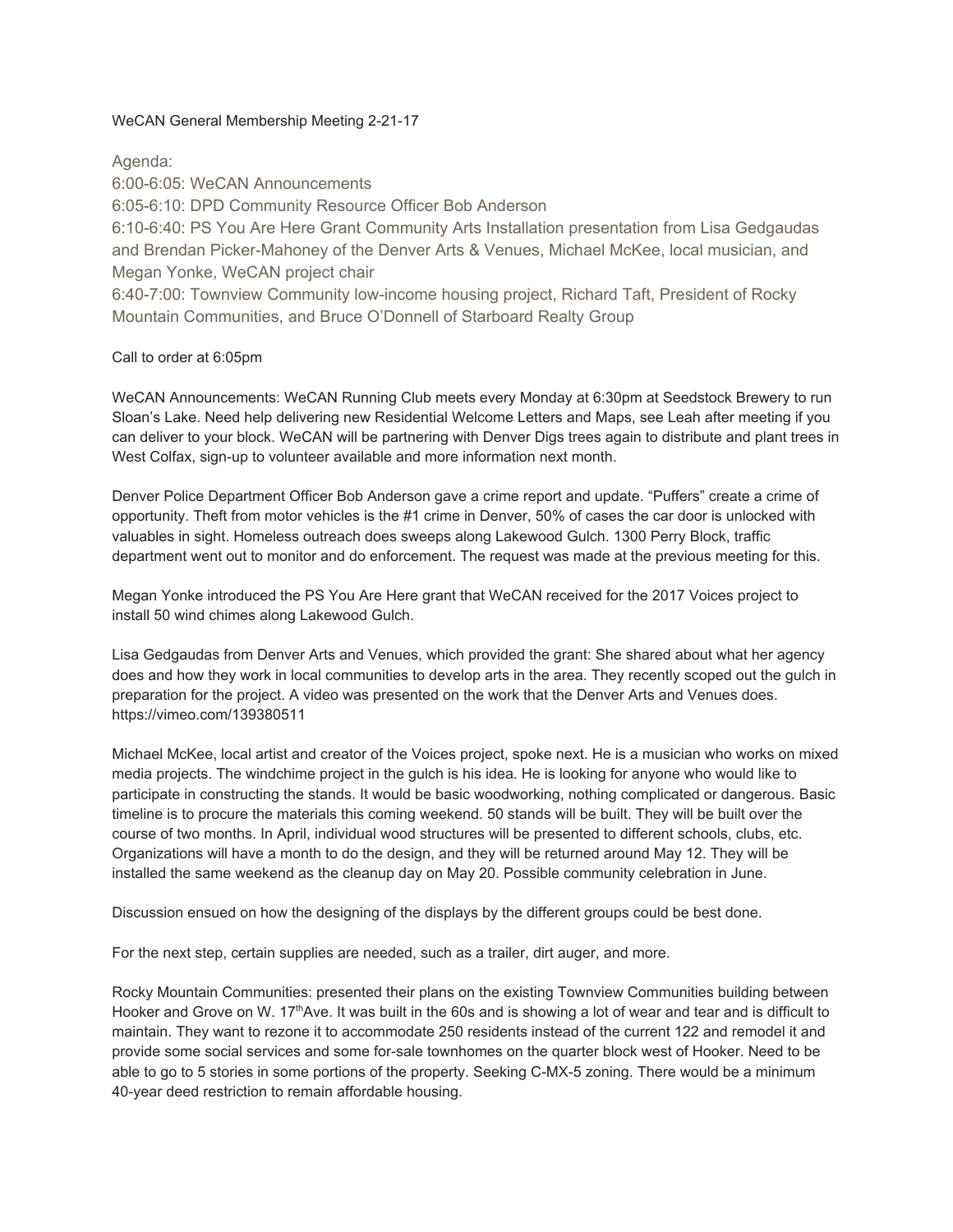## WeCAN General Membership Meeting 2-21-17

Agenda:

6:00-6:05: WeCAN Announcements 6:05-6:10: DPD Community Resource Officer Bob Anderson 6:10-6:40: PS You Are Here Grant Community Arts Installation presentation from Lisa Gedgaudas and Brendan Picker-Mahoney of the Denver Arts & Venues, Michael McKee, local musician, and Megan Yonke, WeCAN project chair 6:40-7:00: Townview Community low-income housing project, Richard Taft, President of Rocky Mountain Communities, and Bruce O'Donnell of Starboard Realty Group

## Call to order at 6:05pm

WeCAN Announcements: WeCAN Running Club meets every Monday at 6:30pm at Seedstock Brewery to run Sloan's Lake. Need help delivering new Residential Welcome Letters and Maps, see Leah after meeting if you can deliver to your block. WeCAN will be partnering with Denver Digs trees again to distribute and plant trees in West Colfax, sign-up to volunteer available and more information next month.

Denver Police Department Officer Bob Anderson gave a crime report and update. "Puffers" create a crime of opportunity. Theft from motor vehicles is the #1 crime in Denver, 50% of cases the car door is unlocked with valuables in sight. Homeless outreach does sweeps along Lakewood Gulch. 1300 Perry Block, traffic department went out to monitor and do enforcement. The request was made at the previous meeting for this.

Megan Yonke introduced the PS You Are Here grant that WeCAN received for the 2017 Voices project to install 50 wind chimes along Lakewood Gulch.

Lisa Gedgaudas from Denver Arts and Venues, which provided the grant: She shared about what her agency does and how they work in local communities to develop arts in the area. They recently scoped out the gulch in preparation for the project. A video was presented on the work that the Denver Arts and Venues does. https://vimeo.com/139380511

Michael McKee, local artist and creator of the Voices project, spoke next. He is a musician who works on mixed media projects. The windchime project in the gulch is his idea. He is looking for anyone who would like to participate in constructing the stands. It would be basic woodworking, nothing complicated or dangerous. Basic timeline is to procure the materials this coming weekend. 50 stands will be built. They will be built over the course of two months. In April, individual wood structures will be presented to different schools, clubs, etc. Organizations will have a month to do the design, and they will be returned around May 12. They will be installed the same weekend as the cleanup day on May 20. Possible community celebration in June.

Discussion ensued on how the designing of the displays by the different groups could be best done.

For the next step, certain supplies are needed, such as a trailer, dirt auger, and more.

Rocky Mountain Communities: presented their plans on the existing Townview Communities building between Hooker and Grove on W. 17<sup>th</sup>Ave. It was built in the 60s and is showing a lot of wear and tear and is difficult to maintain. They want to rezone it to accommodate 250 residents instead of the current 122 and remodel it and provide some social services and some for-sale townhomes on the quarter block west of Hooker. Need to be able to go to 5 stories in some portions of the property. Seeking C-MX-5 zoning. There would be a minimum 40-year deed restriction to remain affordable housing.